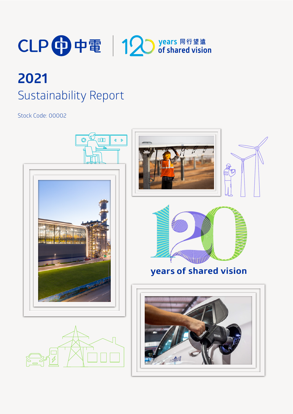

# **2021** Sustainability Report

Stock Code: 00002

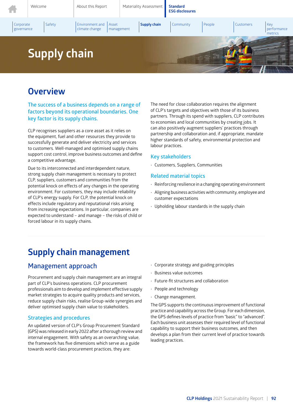

# **Overview**

### **The success of a business depends on a range of factors beyond its operational boundaries. One key factor is its supply chains.**

CLP recognises suppliers as a core asset as it relies on the equipment, fuel and other resources they provide to successfully generate and deliver electricity and services to customers. Well-managed and optimised supply chains support cost control, improve business outcomes and define a competitive advantage.

Due to its interconnected and interdependent nature, strong supply chain management is necessary to protect CLP, suppliers, customers and communities from the potential knock on effects of any changes in the operating environment. For customers, they may include reliability of CLP's energy supply. For CLP, the potential knock on effects include regulatory and reputational risks arising from increasing expectations. In particular, companies are expected to understand – and manage – the risks of child or forced labour in its supply chains.

The need for close collaboration requires the alignment of CLP's targets and objectives with those of its business partners. Through its spend with suppliers, CLP contributes to economies and local communities by creating jobs. It can also positively augment suppliers' practices through partnership and collaboration and, if appropriate, mandate higher standards of safety, environmental protection and labour practices.

### **Key stakeholders**

• Customers, Suppliers, Communities

### **Related material topics**

- Reinforcing resilience in a changing operating environment
- Aligning business activities with community, employee and customer expectations
- Upholding labour standards in the supply chain

# **Supply chain management**

### **Management approach**

Procurement and supply chain management are an integral part of CLP's business operations. CLP procurement professionals aim to develop and implement effective supply market strategies to acquire quality products and services, reduce supply chain risks, realise Group-wide synergies and deliver optimised supply chain value to stakeholders.

#### **Strategies and procedures**

An updated version of CLP's Group Procurement Standard (GPS) was released in early 2022 after a thorough review and internal engagement. With safety as an overarching value, the framework has five dimensions which serve as a guide towards world-class procurement practices, they are:

- Corporate strategy and guiding principles
- Business value outcomes
- Future-fit structures and collaboration
- People and technology
- Change management.

The GPS supports the continuous improvement of functional practice and capability across the Group. For each dimension, the GPS defines levels of practice from "basic" to "advanced". Each business unit assesses their required level of functional capability to support their business outcomes, and then develops a plan from their current level of practice towards leading practices.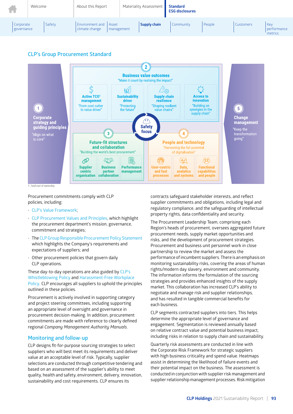

### **CLP's Group Procurement Standard**



Procurement commitments comply with CLP policies, including:

- CLP's Value Framework;
- CLP Procurement Values and Principles, which highlight the procurement department's mission, governance, commitment and strategies;
- The CLP Group Responsible Procurement Policy Statement which highlights the Company's requirements and expectations of suppliers; and
- Other procurement policies that govern daily CLP operations.

These day-to-day operations are also guided by CLP's Whistleblowing Policy and Harassment-Free Workplace Policy. CLP encourages all suppliers to uphold the principles outlined in these policies.

Procurement is actively involved in supporting category and project steering committees, including supporting an appropriate level of oversight and governance in procurement decision-making. In addition, procurement commitments are made with reference to clearly defined regional *Company Management Authority Manuals*.

### **Monitoring and follow-up**

CLP designs fit-for-purpose sourcing strategies to select suppliers who will best meet its requirements and deliver value at an acceptable level of risk. Typically, supplier selections are conducted through competitive tendering and based on an assessment of the supplier's ability to meet quality, health and safety, environment, delivery, innovation, sustainability and cost requirements. CLP ensures its

contracts safeguard stakeholder interests, and reflect supplier commitments and obligations, including legal and regulatory compliance, and the safeguarding of intellectual property rights, data confidentiality and security.

The Procurement Leadership Team, comprising each Region's heads of procurement, oversees aggregated future procurement needs, supply market opportunities and risks, and the development of procurement strategies. Procurement and business unit personnel work in close partnership to review the market and assess the performance ofincumbent suppliers. There is an emphasis on monitoring sustainability risks, covering the areas of human rights/modern day slavery, environment and community. The information informs the formulation of the sourcing strategies and provides enhanced insights of the supply market. This collaboration has increased CLP's ability to negotiate and manage risk and supplier relationships, and has resulted in tangible commercial benefits for each business.

CLP segments contracted suppliers into tiers. This helps determine the appropriate level of governance and engagement. Segmentation is reviewed annually based on relative contract value and potential business impact, including risks in relation to supply chain and sustainability.

Quarterly risk assessments are conducted in line with the Corporate Risk Framework for strategic suppliers with high business criticality and spend value. Heatmaps assist in determining the likelihood of failure events and their potential impact on the business. The assessment is conducted in conjunction with supplier risk management and supplier relationship management processes. Risk mitigation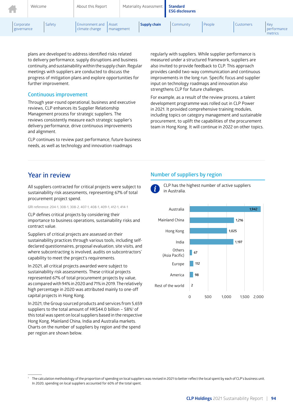| <b>In the Second</b>    | Welcome |        | About this Report                         |            | Materiality Assessment | <b>Standard</b><br><b>ESG disclosures</b> |        |           |                               |
|-------------------------|---------|--------|-------------------------------------------|------------|------------------------|-------------------------------------------|--------|-----------|-------------------------------|
| Corporate<br>governance |         | Safety | Environment and   Asset<br>climate change | management | Supply chain           | Community                                 | People | Customers | Key<br>performance<br>metrics |

plans are developed to address identified risks related to delivery performance, supply disruptions and business continuity, and sustainability within the supply chain. Regular meetings with suppliers are conducted to discuss the progress of mitigation plans and explore opportunities for further improvement.

#### **Continuous improvement**

Through year-round operational, business and executive reviews, CLP enhances its Supplier Relationship Management process for strategic suppliers. The reviews consistently measure each strategic supplier's delivery performance, drive continuous improvements and alignment.

CLP continues to review past performance, future business needs, as well as technology and innovation roadmaps

regularly with suppliers. While supplier performance is measured under a structured framework, suppliers are also invited to provide feedback to CLP. This approach provides candid two-way communication and continuous improvements in the long run. Specific focus and supplier input on technology roadmaps and innovation also strengthens CLP for future challenges.

For example, as a result of the review process, a talent development programme was rolled out in CLP Power in 2021. It provided comprehensive training modules, including topics on category management and sustainable procurement, to uplift the capabilities of the procurement team in Hong Kong. It will continue in 2022 on other topics.

### **Year in review**

All suppliers contracted for critical projects were subject to sustainability risk assessments, representing 67% of total procurement project spend.

GRI reference: 204-1, 308-1, 308-2, 407-1, 408-1, 409-1, 412-1, 414-1

CLP defines critical projects by considering their importance to business operations, sustainability risks and contract value.

Suppliers of critical projects are assessed on their sustainability practices through various tools, including selfdeclared questionnaires, proposal evaluation, site visits, and where subcontracting is involved, audits on subcontractors' capability to meet the project's requirements.

In 2021, all critical projects awarded were subject to sustainability risk assessments. These critical projects represented 67% of total procurement projects by value, as comparedwith 94%in 2020and 71%in 2019. The relatively high percentage in 2020 was attributed mainly to one-off capital projects in Hong Kong.

In 2021, the Group sourced products and services from 5,659 suppliers to the total amount of HK\$44.0 billion - 58%<sup>1</sup> of this total was spent on local suppliers based in the respective Hong Kong, Mainland China, India and Australia markets. Charts on the number of suppliers by region and the spend per region are shown below.

### **Number of suppliers by region**



CLP has the highest number of active suppliers in Australia.



The calculation methodology of the proportion of spending on local suppliers was revised in 2021 to better reflect the local spent by each of CLP's business unit. In 2020, spending on local suppliers accounted for 60% of the total spent.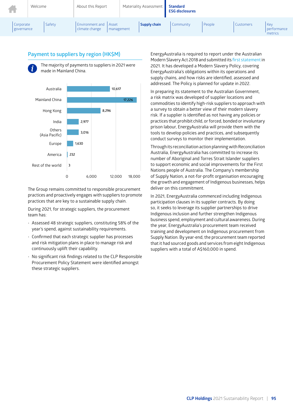| <b>TELESCOPE</b>        | Welcome |        | About this Report                        |                            | Materiality Assessment | <b>Standard</b><br><b>ESG disclosures</b> |        |                  |                               |
|-------------------------|---------|--------|------------------------------------------|----------------------------|------------------------|-------------------------------------------|--------|------------------|-------------------------------|
| Corporate<br>governance |         | Safety | <b>Environment and</b><br>climate change | <b>Asset</b><br>management | Supply chain           | Community                                 | People | <b>Customers</b> | Key<br>performance<br>metrics |

### **Payment to suppliers by region (HK\$M)**



The majority of payments to suppliers in 2021 were made in Mainland China.



The Group remains committed to responsible procurement practices and proactively engages with suppliers to promote practices that are key to a sustainable supply chain.

During 2021, for strategic suppliers, the procurement team has:

- Assessed 48 strategic suppliers, constituting 58% of the year's spend, against sustainability requirements.
- Confirmed that each strategic supplier has processes and risk mitigation plans in place to manage risk and continuously uplift their capability.
- No significant risk findings related to the CLP Responsible Procurement Policy Statement were identified amongst these strategic suppliers.

EnergyAustralia is required to report under the Australian Modern Slavery Act 2018 and submitted its first statementin 2021. It has developed a Modern Slavery Policy, covering EnergyAustralia's obligations within its operations and supply chains, and how risks are identified, assessed and addressed. The Policy is planned for update in 2022.

In preparing its statement to the Australian Government, a risk matrix was developed of supplier locations and commodities to identify high-risk suppliers to approach with a survey to obtain a better view of their modern slavery risk. If a supplier is identified as not having any policies or practices that prohibit child, or forced, bonded or involuntary prison labour, EnergyAustralia will provide them with the tools to develop policies and practices, and subsequently conduct surveys to monitor their implementation.

Through its reconciliation action planning with Reconciliation Australia, EnergyAustralia has committed to increase its number of Aboriginal and Torres Strait Islander suppliers to support economic and social improvements for the First Nations people of Australia. The Company's membership of Supply Nation, a not-for-profit organisation encouraging the growth and engagement of Indigenous businesses, helps deliver on this commitment.

In 2021, EnergyAustralia commenced including Indigenous participation clauses in its supplier contracts. By doing so, it seeks to leverage its supplier partnerships to drive Indigenous inclusion and further strengthen Indigenous business spend, employment and cultural awareness. During the year, EnergyAustralia's procurement team received training and development on Indigenous procurement from Supply Nation. By year-end, the procurement team reported that it had sourced goods and services from eight Indigenous suppliers with a total of A\$160,000 in spend.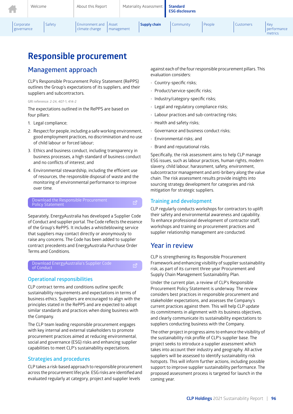| Welcome                 |  | About this Report |                                          | Materiality Assessment |  | <b>Standard</b><br><b>ESG disclosures</b> |           |        |                  |                               |
|-------------------------|--|-------------------|------------------------------------------|------------------------|--|-------------------------------------------|-----------|--------|------------------|-------------------------------|
| Corporate<br>governance |  | Safety            | <b>Environment and</b><br>climate change | Asset<br>management    |  | Supply chain                              | Community | People | <b>Customers</b> | Key<br>performance<br>metrics |

# **Responsible procurement**

### **Management approach**

CLP's Responsible Procurement Policy Statement (RePPS) outlines the Group's expectations of its suppliers, and their suppliers and subcontractors.

GRI reference: 2-24, 407-1, 414-2

The expectations outlined in the RePPS are based on four pillars:

- 1. Legal compliance;
- 2. Respect for people, including a safe working environment, good employment practices, no discrimination and no use of child labour or forced labour;
- 3. Ethics and business conduct, including transparency in business processes, a high standard of business conduct and no conflicts of interest; and
- 4. Environmental stewardship, including the efficient use of resources, the responsible disposal of waste and the monitoring of environmental performance to improve over time.

### Download the Responsible Procurement<br>Policy Statement

Separately, EnergyAustralia has developed a Supplier Code of Conduct and supplier portal. The Code reflects the essence of the Group's RePPS. It includes a whistleblowing service that suppliers may contact directly or anonymously to raise any concerns. The Code has been added to supplier contract precedents and EnergyAustralia Purchase Order Terms and Conditions.

### Download EnergyAustralia's Supplier Code スピーク<br>of Conduct

### **Operational responsibilities**

CLP contract terms and conditions outline specific sustainability requirements and expectations in terms of business ethics. Suppliers are encouraged to align with the principles stated in the RePPS and are expected to adopt similar standards and practices when doing business with the Company.

The CLP team leading responsible procurement engages with key internal and external stakeholders to promote procurement practices aimed at reducing environmental, social and governance (ESG) risks and enhancing supplier capabilities to meet CLP's sustainability expectations.

### **Strategies and procedures**

CLP takes a risk-based approach to responsible procurement across the procurement lifecycle. ESG risks are identified and evaluated regularly at category, project and supplier levels

against each of the four responsible procurement pillars. This evaluation considers:

- Country-specific risks;
- Product/service-specific risks;
- Industry/category-specific risks;
- Legal and regulatory compliance risks;
- Labour practices and sub-contracting risks;
- Health and safety risks;
- Governance and business conduct risks;
- Environmental risks; and
- Brand and reputational risks.

Specifically, the risk assessment aims to help CLP manage ESG issues, such as labour practices, human rights, modern slavery, child labour, harassment, safety, environment, subcontractor management and anti-bribery along the value chain. The risk assessment results provide insights into sourcing strategy development for categories and risk mitigation for strategic suppliers.

### **Training and development**

CLP regularly conducts workshops for contractors to uplift their safety and environmental awareness and capability. To enhance professional development of contractor staff, workshops and training on procurement practices and supplier relationship management are conducted.

### **Year in review**

CLP is strengthening its Responsible Procurement Framework and enhancing visibility of supplier sustainability risk, as part of its current three-year Procurement and Supply Chain Management Sustainability Plan.

Under the current plan, a review of CLP's Responsible Procurement Policy Statement is underway. The review considers best practices in responsible procurement and stakeholder expectations, and assesses the Company's current practices against them. This will help CLP update its commitments in alignment with its business objectives, and clearly communicate its sustainability expectations to suppliers conducting business with the Company.

The other project in progress aims to enhance the visibility of the sustainability risk profile of CLP's supplier base. The project seeks to introduce a supplier assessment which takes into account their industry and geography. All active suppliers will be assessed to identify sustainability risk hotspots. This will inform further actions, including possible support to improve supplier sustainability performance. The proposed assessment process is targeted for launch in the coming year.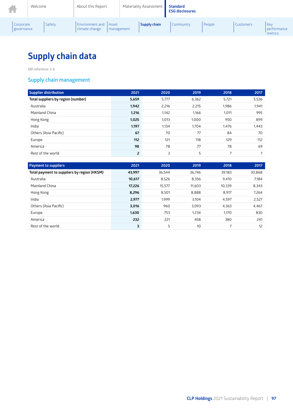|                           | Welcome |        | About this Report                           |            | Materiality Assessment | <b>Standard</b><br><b>ESG disclosures</b> |        |                  |                                 |
|---------------------------|---------|--------|---------------------------------------------|------------|------------------------|-------------------------------------------|--------|------------------|---------------------------------|
| Corporate<br>  governance |         | Safety | Environment and   Asset<br>  climate change | management | <b>Supply chain</b>    | Community                                 | People | <b>Customers</b> | Kev<br>l performance<br>metrics |

# **Supply chain data**

GRI reference: 2-6

### **Supply chain management**

| Supplier distribution              | 2021           | 2020  | 2019  | 2018                     | 2017  |
|------------------------------------|----------------|-------|-------|--------------------------|-------|
| Total suppliers by region (number) | 5,659          | 5,777 | 6,362 | 5,721                    | 5,536 |
| Australia                          | 1,942          | 2,216 | 2,215 | 1,986                    | 1,941 |
| Mainland China                     | 1,216          | 1,142 | 1,166 | 1,011                    | 995   |
| Hong Kong                          | 1,025          | 1,013 | 1,000 | 950                      | 899   |
| India                              | 1,197          | 1.134 | 1.704 | 1,476                    | 1,443 |
| Others (Asia Pacific)              | 67             | 70    | 77    | 84                       | 70    |
| Europe                             | 112            | 121   | 118   | 129                      | 112   |
| America                            | 98             | 78    | 77    | 78                       | 69    |
| Rest of the world                  | $\overline{2}$ | 3     | 5     | $\overline{\phantom{1}}$ | 7     |

| <b>Payment to suppliers</b>                  | 2021   | 2020   | 2019   | 2018   | 2017   |
|----------------------------------------------|--------|--------|--------|--------|--------|
| Total payment to suppliers by region (HK\$M) | 43,997 | 36.544 | 36.746 | 39,183 | 30,868 |
| Australia                                    | 10,617 | 8,526  | 8,356  | 9,410  | 7,184  |
| Mainland China                               | 17,226 | 15,577 | 11.603 | 10.339 | 8,343  |
| Hong Kong                                    | 8,296  | 8,501  | 8,888  | 8.917  | 7,264  |
| India                                        | 2,977  | 1.999  | 3,104  | 4,597  | 2,527  |
| Others (Asia Pacific)                        | 3,016  | 960    | 3.093  | 4,363  | 4,467  |
| Europe                                       | 1,630  | 753    | 1,234  | 1.170  | 830    |
| America                                      | 232    | 221    | 458    | 380    | 241    |
| Rest of the world                            | 3      | 5      | 10     |        | 12     |